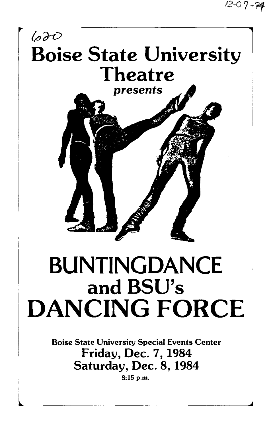$12 - 07 - 84$ 



# **BUNTINGDANCE** and BSU's DANCING FORCE

Boise State University Special Events Center Friday, Dec. 7, 1984 Saturday, Dec. 8, 1984 8:15 p.m.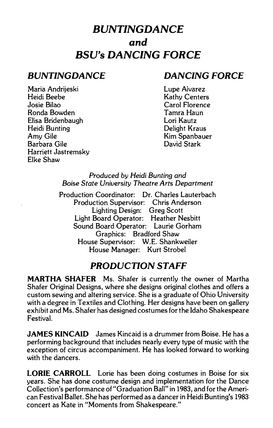# **BVNTINGDANCE**  *and*  **BSV's DANCING FORCE**

Maria Andrijeski Heidi Beebe Josie Bilao Ronda Bowden Elisa Bridenbaugh Heidi Bunting AmyGile Barbara Gile Harriett Jastremsky Elke Shaw

## **BUNTINGDANCE DANCING FORCE**

Lupe Alvarez Kathy Centers Carol Florence Tamra Haun Lori Kautz Delight Kraus Kim Spanbauer David Stark

#### Produced *by Heidi Bunting* and Boise *State University Theatre* Arts *Department*

Production Coordinator: Dr. Charles Lauterbach Production Supervisor: Chris Anderson Lighting Design: Greg Scott Light Board Operator: Heather Nesbitt Sound Board Operator: Laurie Gorham Graphics: Bradford Shaw House Supervisor: W .E. Shankweiler House Manager: Kurt Strobel

### **PRODUCTION STAFF**

**MARTHA SHAFER** Ms. Shafer is currently the owner of Martha Shafer Original Designs, where she designs original clothes and offers a custom sewing and altering service. She is a graduate of Ohio University with a degree in Textiles and Clothing. Her designs have been on gallery exhibit and Ms. Shafer has designed costumes for the Idaho Shakespeare Festival.

**JAMES KINCAID** James Kincaid is a drummer from Boise. He has a performing background that includes nearly every type of music with the exception of circus accompaniment. He has looked forward to working with the dancers.

**LORIE CARROLL** Lorie has been doing costumes in Boise for six years. She has done costume design and implementation for the Dance Collection's performance of "Graduation Ball" in 1983, and for the American Festival Ballet. She has performed as a dancer in Heidi Bunting's 1983 concert as Kate in "Moments from Shakespeare."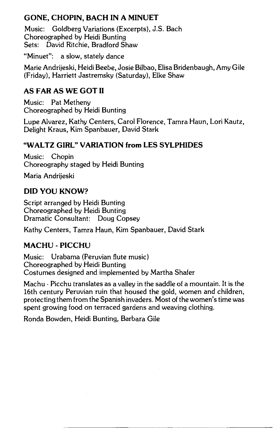#### **GONE, CHOPIN, BACH IN A MINUET**

Music: Goldberg Variations (Excerpts), J.S. Bach Choreographed by Heidi Bunting Sets: David Ritchie, Bradford Shaw

"Minuet": a slow, stately dance

Marie Andrijeski, Heidi Beebe, Josie Bilbao, Elisa Bridenbaugh, Amy Gile (Friday), Harriett Jastremsky (Saturday), Elke Shaw

#### **AS FAR AS WE GOT II**

Music: Pat Metheny Choreographed by Heidi Bunting

Lupe Alvarez, Kathy Centers, Carol Florence, Tamra Haun, Lori Kautz, Delight Kraus, Kim Spanbauer, David Stark

#### **"WALTZ GIRL" VARIATION from LES SYLPHIDES**

Music: Chopin Choreography staged by Heidi Bunting

Maria Andrijeski

#### **DID YOU KNOW?**

Script arranged by Heidi Bunting Choreographed by Heidi Bunting Dramatic Consultant: Doug Copsey

Kathy Centers, Tamra Haun, Kim Spanbauer, David Stark

#### **MACHU - PICCHU**

Music: Urabama (Peruvian flute music) Choreographed by Heidi Bunting Costumes designed and implemented by Martha Shafer

Machu - Picchu translates as a valley in the saddle of a mountain. It is the 16th century Peruvian ruin that housed the gold, women and children, protecting them from the Spanish invaders. Most of the women's time was spent growing food on terraced gardens and weaving clothing.

Ronda Bowden, Heidi Bunting, Barbara Gile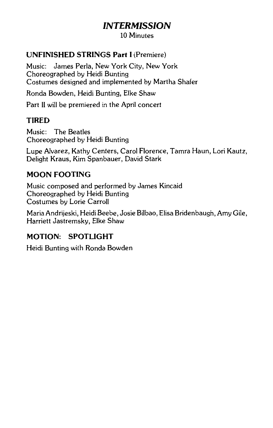# **INTERMISSION**

10 Minutes

#### **UNFINISHED STRINGS Part** I (Premiere)

Music: James Perla, New York City, New York Choreographed by Heidi Bunting Costumes designed and implemented by Martha Shafer

Ronda Bowden, Heidi Bunting, Elke Shaw

Part II will be premiered in the April concert

#### **TIRED**

Music: The Beatles Choreographed by Heidi Bunting

Lupe Alvarez, Kathy Centers, Carol Florence, Tamra Haun, Lori Kautz, Delight Kraus, Kim Spanbauer, David Stark

#### **MOON FOOTING**

Music composed and performed by James Kincaid Choreographed by Heidi Bunting Costumes by Lorie Carroll

Maria Andrijeski, Heidi Beebe, Josie Bilbao, Elisa Bridenbaugh, Amy Gile, Harriett Jastremsky, Elke Shaw

#### **MOTION: SPOTLIGHT**

Heidi Bunting with Ronda Bowden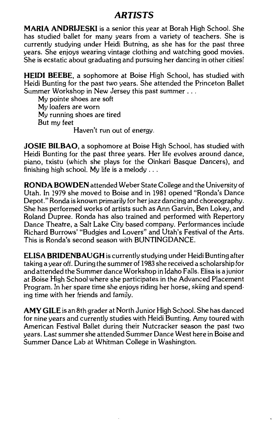#### *ARTISTS*

**MARIA ANDRIJESKI** is a senior this year at Borah High School. She has studied ballet for many years from a variety of teachers. She is currently studying under Heidi Butning, as she has for the past three years. She enjoys wearing vintage clothing and watching good movies. She is ecstatic about graduating and pursuing her dancing in other cities!

**HEIDI BEEBE,** a sophomore at Boise High School, has studied with Heidi Bunting for the past two years. She attended the Princeton Ballet Summer Workshop in New Jersey this past summer ...

My pointe shoes are soft My loafers are worn My running shoes are tired But my feet

Haven't run out of energy.

**JOSIE BILBAO,** a sophomore at Boise High School, has studied with Heidi Bunting for the past three years. Her life evolves around dance, piano, txistu (which she plays for the Oinkari Basque Dancers), and finishing high school. My life is a melody ...

**RONDA BOWDEN** attended Weber State College and the University of Utah. In 1979 she moved to Boise and in 1981 opened "Ronda's Dance Depot." Ronda is known primarily for her jazz dancing and choreography. She has performed works of artists such as Ann Garvin, Ben Lokey, and Roland Dupree. Ronda has also trained and performed with Repertory Dance Theatre, a Salt Lake City based company. Performances include Richard Burrows' "Budgies and Lovers" and Utah's Festival of the Arts. This is Ronda's second season with BUNTINGDANCE.

**ELISA BRIDENBAUGH** is currently studying under Heidi Bunting after taking a year off. During the summer of 1983 she received a scholarship for and attended the Summer dance Workshop in Idaho Falls. Elisa is a junior at Boise High School where she participates in the Advanced Placement Program. In her spare time she enjoys riding her horse, skiing and spending time with her friends and family.

**AMY GILE** is an 8th grader at North Junior High School. She has danced for nine years and currently studies with Heidi Bunting. Amy toured with American Festival Ballet during their Nutcracker season the past two years. Last summer she attended Summer Dance West here in Boise and Summer Dance Lab at Whitman College in Washington.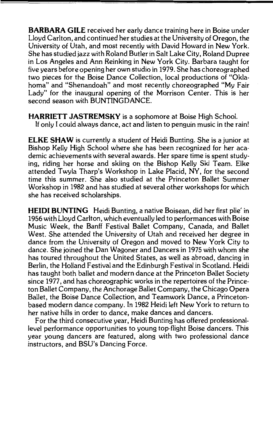**BARBARA GILE** received her early dance training here in Boise under Lloyd Carlton, and continued her studies at the University of Oregon, the University of Utah, and most recently with David Howard in New York. She has studied jazz with Roland Butler in Salt Lake City, Roland Dupree in Los Angeles and Ann Reinking in New York City. Barbara taught for five years before opening her own studio in 1979. She has choreographed two pieces for the Boise Dance Collection, local productions of "Okla· homa" and "Shenandoah" and most recently choreographed "My Fair Lady" for the inaugural opening of the Morrison Center. This is her second season with BUNTINGDANCE.

**HARRIETT JASTREMSKY** is a sophomore at Boise High School.

If only I could always dance, act and listen to penguin music in the rain!

**ELKE SHAW** is currently a student of Heidi Bunting. She is a junior at Bishop Kelly High School where she has been recognized for her academic achievements with several awards. Her spare time is spent studying, riding her horse and skiing on the Bishop Kelly Ski Team. Elke attended Twyla Tharp's Workshop in Lake Placid, NY, for the second time this summer. She also studied at the Princeton Ballet Summer Workshop in 1982 and has studied at several other workshops for which she has received scholarships.

**HEIDI BUNTING** Heidi Bunting, a native Boisean, did her first plie' in 1956 with Lloyd Carlton, which eventually led to performances with Boise Music Week, the Banff Festival Ballet Company, Canada, and Ballet West. She attended the University of Utah and received her degree in dance from the University of Oregon and moved to New York City to dance. She joined the Dan Wagoner and Dancers in 1975 with whom she has toured throughout the United States, as well as abroad, dancing in Berlin, the Holland Festival and the Edinburgh Festival in Scotland. Heidi has taught both ballet and modern dance at the Princeton Ballet Society since 1977, and has choreographic works in the repertoires of the Princeton Ballet Company, the Anchorage Ballet Company, the Chicago Opera Ballet, the Boise Dance Collection, and Teamwork Dance, a Princetonbased modern dance company. In 1982 Heidi left New York to return to her native hills in order to dance, make dances and dancers.

For the third consecutive year, Heidi Bunting has offered professionallevel performance opportunities to young top-flight Boise dancers. This year young dancers are featured, along with two professional dance instructors, and BSU's Dancing Force.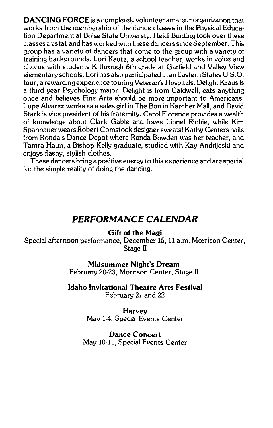**DANCING FORCE** is a completely volunteer amateur organization that works from the membership of the dance classes in the Physical Education Department at Boise State Universty. Heidi Bunting took over these classes this fall and has worked with these dancers since September. This group has a variety of dancers that come to the group with a variety of training backgrounds. Lori Kautz, a school teacher, works in voice and chorus with students K through 6th grade at Garfield and Valley View elementary schools. Lori has also participated in an Eastern States U.S. 0. tour, a rewarding experience touring Veteran's Hospitals. Delight Kraus is a third year Psychology major. Delight is from Caldwell, eats anything once and believes Fine Arts should be more important to Americans. Lupe Alvarez works as a sales girl in The Bon in Karcher Mall, and David Stark is vice president of his fraternity. Carol Florence provides a wealth of knowledge about Clark Gable and loves Lionel Richie, while Kim Spanbauer wears Robert Comstock designer sweats! Kathy Centers hails from Ronda's Dance Depot where Ronda Bowden was her teacher, and Tamra Haun, a Bishop Kelly graduate, studied with Kay Andrijeski and enjoys flashy, stylish clothes.

These dancers bring a positive energy to this experience and are special for the simple reality of doing the dancing.

#### **PERFORMANCE CALENDAR**

**Gift of the Magi** 

Special afternoon performance, December 15, 11 a.m. Morrison Center, Stage II

**Midsummer Night's Dream** 

February 20-23, Morrison Center, Stage II

#### **Idaho Invitational Theatre Arts Festival**

February 21 and 22

**Harvey**  May 1-4, Special Events Center

**Dance Concert**  May 10-11, Special Events Center